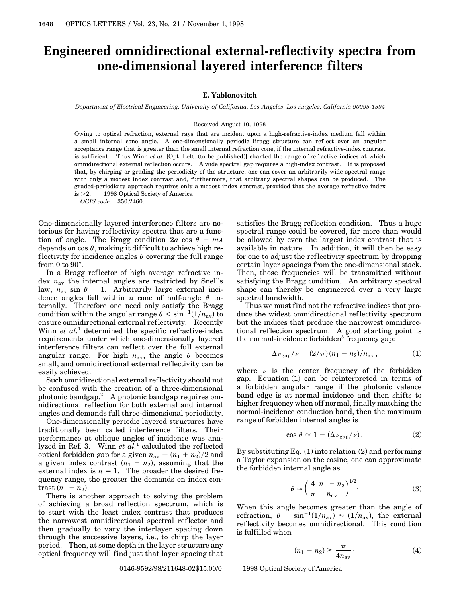## **Engineered omnidirectional external-reflectivity spectra from one-dimensional layered interference filters**

## **E. Yablonovitch**

*Department of Electrical Engineering, University of California, Los Angeles, Los Angeles, California 90095-1594*

## Received August 10, 1998

Owing to optical refraction, external rays that are incident upon a high-refractive-index medium fall within a small internal cone angle. A one-dimensionally periodic Bragg structure can reflect over an angular acceptance range that is greater than the small internal refraction cone, if the internal refractive-index contrast is sufficient. Thus Winn *et al.* [Opt. Lett. (to be published)] charted the range of refractive indices at which omnidirectional external reflection occurs. A wide spectral gap requires a high-index contrast. It is proposed that, by chirping or grading the periodicity of the structure, one can cover an arbitrarily wide spectral range with only a modest index contrast and, furthermore, that arbitrary spectral shapes can be produced. The graded-periodicity approach requires only a modest index contrast, provided that the average refractive index is  $>2$ .  $\circ$  1998 Optical Society of America

*OCIS code:* 350.2460.

One-dimensionally layered interference filters are notorious for having ref lectivity spectra that are a function of angle. The Bragg condition  $2a \cos \theta = m\lambda$ depends on cos  $\theta$ , making it difficult to achieve high reflectivity for incidence angles  $\theta$  covering the full range from 0 to  $90^\circ$ .

In a Bragg reflector of high average refractive index *n*av the internal angles are restricted by Snell's law,  $n_{av}$  sin  $\theta = 1$ . Arbitrarily large external incidence angles fall within a cone of half-angle  $\theta$  internally. Therefore one need only satisfy the Bragg condition within the angular range  $\theta < \sin^{-1}(1/n_{av})$  to ensure omnidirectional external reflectivity. Recently Winn *et al.*<sup>1</sup> determined the specific refractive-index requirements under which one-dimensionally layered interference filters can ref lect over the full external angular range. For high  $n_{\text{av}}$ , the angle  $\theta$  becomes small, and omnidirectional external reflectivity can be easily achieved.

Such omnidirectional external ref lectivity should not be confused with the creation of a three-dimensional photonic bandgap.<sup>2</sup> A photonic bandgap requires omnidirectional reflection for both external and internal angles and demands full three-dimensional periodicity.

One-dimensionally periodic layered structures have traditionally been called interference filters. Their performance at oblique angles of incidence was analyzed in Ref. 3. Winn *et al.*<sup>1</sup> calculated the ref lected optical forbidden gap for a given  $n_{av} = (n_1 + n_2)/2$  and a given index contrast  $(n_1 - n_2)$ , assuming that the external index is  $n = 1$ . The broader the desired frequency range, the greater the demands on index con- $\text{trast} \ (n_1 - n_2).$ 

There is another approach to solving the problem of achieving a broad reflection spectrum, which is to start with the least index contrast that produces the narrowest omnidirectional spectral ref lector and then gradually to vary the interlayer spacing down through the successive layers, i.e., to chirp the layer period. Then, at some depth in the layer structure any optical frequency will find just that layer spacing that satisfies the Bragg reflection condition. Thus a huge spectral range could be covered, far more than would be allowed by even the largest index contrast that is available in nature. In addition, it will then be easy for one to adjust the reflectivity spectrum by dropping certain layer spacings from the one-dimensional stack. Then, those frequencies will be transmitted without satisfying the Bragg condition. An arbitrary spectral shape can thereby be engineered over a very large spectral bandwidth.

Thus we must find not the refractive indices that produce the widest omnidirectional ref lectivity spectrum but the indices that produce the narrowest omnidirectional reflection spectrum. A good starting point is the normal-incidence forbidden<sup>3</sup> frequency gap:

$$
\Delta \nu_{\rm gap}/\nu = (2/\pi)(n_1 - n_2)/n_{\rm av}, \qquad (1)
$$

where  $\nu$  is the center frequency of the forbidden gap. Equation (1) can be reinterpreted in terms of a forbidden angular range if the photonic valence band edge is at normal incidence and then shifts to higher frequency when off normal, finally matching the normal-incidence conduction band, then the maximum range of forbidden internal angles is

$$
\cos \theta \approx 1 - (\Delta \nu_{\rm gap}/\nu). \tag{2}
$$

By substituting Eq. (1) into relation (2) and performing a Taylor expansion on the cosine, one can approximate the forbidden internal angle as

$$
\theta \approx \left(\frac{4}{\pi} \frac{n_1 - n_2}{n_{\rm av}}\right)^{1/2}.\tag{3}
$$

When this angle becomes greater than the angle of refraction,  $\theta = \sin^{-1}(1/n_{av}) \approx (1/n_{av})$ , the external ref lectivity becomes omnidirectional. This condition is fulfilled when

$$
(n_1 - n_2) \ge \frac{\pi}{4n_{\rm av}}.\tag{4}
$$

0146-9592/98/211648-02\$15.00/0 © 1998 Optical Society of America